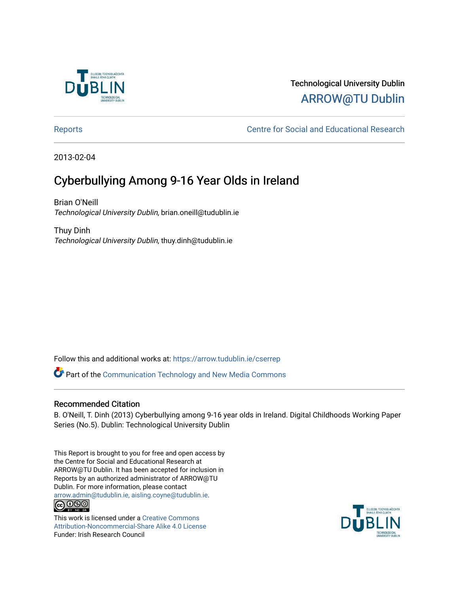

## Technological University Dublin [ARROW@TU Dublin](https://arrow.tudublin.ie/)

[Reports](https://arrow.tudublin.ie/cserrep) **Centre for Social and Educational Research** 

2013-02-04

## Cyberbullying Among 9-16 Year Olds in Ireland

Brian O'Neill Technological University Dublin, brian.oneill@tudublin.ie

Thuy Dinh Technological University Dublin, thuy.dinh@tudublin.ie

Follow this and additional works at: [https://arrow.tudublin.ie/cserrep](https://arrow.tudublin.ie/cserrep?utm_source=arrow.tudublin.ie%2Fcserrep%2F31&utm_medium=PDF&utm_campaign=PDFCoverPages)

Part of the [Communication Technology and New Media Commons](http://network.bepress.com/hgg/discipline/327?utm_source=arrow.tudublin.ie%2Fcserrep%2F31&utm_medium=PDF&utm_campaign=PDFCoverPages) 

### Recommended Citation

B. O'Neill, T. Dinh (2013) Cyberbullying among 9-16 year olds in Ireland. Digital Childhoods Working Paper Series (No.5). Dublin: Technological University Dublin

This Report is brought to you for free and open access by the Centre for Social and Educational Research at ARROW@TU Dublin. It has been accepted for inclusion in Reports by an authorized administrator of ARROW@TU Dublin. For more information, please contact [arrow.admin@tudublin.ie, aisling.coyne@tudublin.ie](mailto:arrow.admin@tudublin.ie,%20aisling.coyne@tudublin.ie).<br>(co 060

This work is licensed under a [Creative Commons](http://creativecommons.org/licenses/by-nc-sa/4.0/) [Attribution-Noncommercial-Share Alike 4.0 License](http://creativecommons.org/licenses/by-nc-sa/4.0/) Funder: Irish Research Council

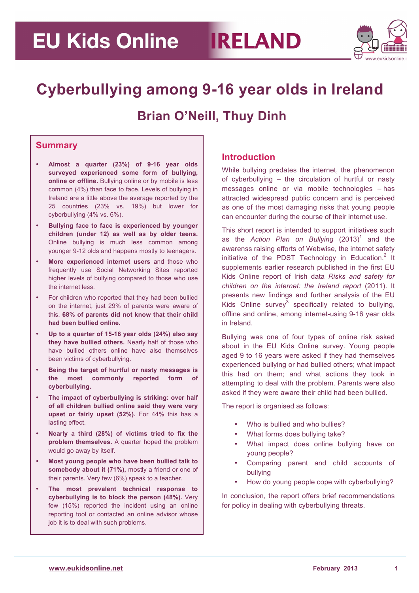## **EU Kids Online RELAND**



## **Cyberbullying among 9-16 year olds in Ireland Brian O'Neill, Thuy Dinh**

### **Summary**

- **Almost a quarter (23%) of 9-16 year olds surveyed experienced some form of bullying, online or offline.** Bullying online or by mobile is less common (4%) than face to face. Levels of bullying in Ireland are a little above the average reported by the 25 countries (23% vs. 19%) but lower for cyberbullying (4% vs. 6%).
- **Bullying face to face is experienced by younger children (under 12) as well as by older teens.**  Online bullying is much less common among younger 9-12 olds and happens mostly to teenagers.
- **More experienced internet users** and those who frequently use Social Networking Sites reported higher levels of bullying compared to those who use the internet less.
- For children who reported that they had been bullied on the internet, just 29% of parents were aware of this. **68% of parents did not know that their child had been bullied online.**
- **Up to a quarter of 15-16 year olds (24%) also say they have bullied others.** Nearly half of those who have bullied others online have also themselves been victims of cyberbullying.
- **Being the target of hurtful or nasty messages is the most commonly reported form of cyberbullying.**
- **The impact of cyberbullying is striking: over half of all children bullied online said they were very upset or fairly upset (52%).** For 44% this has a lasting effect.
- **Nearly a third (28%) of victims tried to fix the problem themselves.** A quarter hoped the problem would go away by itself.
- **Most young people who have been bullied talk to somebody about it (71%),** mostly a friend or one of their parents. Very few (6%) speak to a teacher.
- **The most prevalent technical response to cyberbullying is to block the person (48%).** Very few (15%) reported the incident using an online reporting tool or contacted an online advisor whose job it is to deal with such problems.

### **Introduction**

While bullying predates the internet, the phenomenon of cyberbullying – the circulation of hurtful or nasty messages online or via mobile technologies – has attracted widespread public concern and is perceived as one of the most damaging risks that young people can encounter during the course of their internet use.

This short report is intended to support initiatives such as the *Action Plan on Bullying* (2013)<sup>1</sup> and the awarenss raising efforts of Webwise, the internet safety initiative of the PDST Technology in Education.<sup>2</sup> It supplements earlier research published in the first EU Kids Online report of Irish data *Risks and safety for children on the internet: the Ireland report* (2011). It presents new findings and further analysis of the EU Kids Online survey<sup>3</sup> specifically related to bullying, offline and online, among internet-using 9-16 year olds in Ireland.

Bullying was one of four types of online risk asked about in the EU Kids Online survey. Young people aged 9 to 16 years were asked if they had themselves experienced bullying or had bullied others; what impact this had on them; and what actions they took in attempting to deal with the problem. Parents were also asked if they were aware their child had been bullied.

The report is organised as follows:

- Who is bullied and who bullies?
- What forms does bullying take?
- What impact does online bullying have on young people?
- Comparing parent and child accounts of bullying
- How do young people cope with cyberbullying?

In conclusion, the report offers brief recommendations for policy in dealing with cyberbullying threats.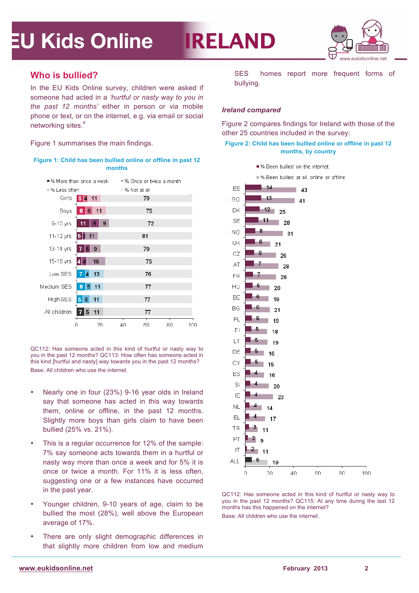

### **Who is bullied?**

In the EU Kids Online survey, children were asked if someone had acted in a *'hurtful or nasty way to you in the past 12 months'* either in person or via mobile phone or text, or on the internet, e.g. via email or social networking sites.4

Figure 1 summarises the main findings.





QC112: Has someone acted in this kind of hurtful or nasty way to you in the past 12 months? QC113: How often has someone acted in this kind [hurtful and nasty] way towards you in the past 12 months? Base: All children who use the internet.

- Nearly one in four (23%) 9-16 year olds in Ireland say that someone has acted in this way towards them, online or offline, in the past 12 months. Slightly more boys than girls claim to have been bullied (25% vs. 21%).
- This is a regular occurrence for 12% of the sample: 7% say someone acts towards them in a hurtful or nasty way more than once a week and for 5% it is once or twice a month. For 11% it is less often, suggesting one or a few instances have occurred in the past year.
- Younger children, 9-10 years of age, claim to be bullied the most (28%), well above the European average of 17%.
- There are only slight demographic differences in that slightly more children from low and medium

SES homes report more frequent forms of bullying.

#### *Ireland compared*

**IRELAND** 

Figure 2 compares findings for Ireland with those of the other 25 countries included in the survey:

#### **Figure 2: Child has been bullied online or offline in past 12 months, by country**



QC112: Has someone acted in this kind of hurtful or nasty way to you in the past 12 months? QC115: At any time during the last 12 months has this happened on the internet?

Base: All children who use the internet.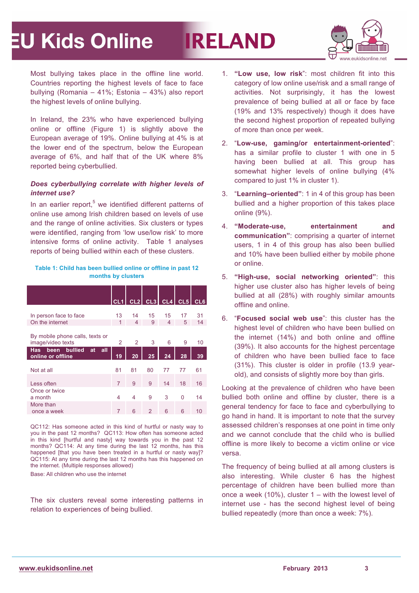# **IRELAND**



Most bullying takes place in the offline line world. Countries reporting the highest levels of face to face bullying (Romania – 41%; Estonia – 43%) also report the highest levels of online bullying.

In Ireland, the 23% who have experienced bullying online or offline (Figure 1) is slightly above the European average of 19%. Online bullying at 4% is at the lower end of the spectrum, below the European average of 6%, and half that of the UK where 8% reported being cyberbullied.

#### *Does cyberbullying correlate with higher levels of internet use?*

In an earlier report, $5$  we identified different patterns of online use among Irish children based on levels of use and the range of online activities. Six clusters or types were identified, ranging from 'low use/low risk' to more intensive forms of online activity. Table 1 analyses reports of being bullied within each of these clusters.

#### **Table 1: Child has been bullied online or offline in past 12 months by clusters**

|                                                       | CL1           |    |    | $CL2$ CL3 CL4 CL5 |          | CL <sub>6</sub> |
|-------------------------------------------------------|---------------|----|----|-------------------|----------|-----------------|
|                                                       |               |    |    |                   |          |                 |
| In person face to face                                | 13            | 14 | 15 | 15                | 17       | 31              |
| On the internet                                       | 1             | 4  | 9  | 4                 | 5        | 14              |
| By mobile phone calls, texts or<br>image/video texts  | $\mathcal{P}$ | 2  | 3  | 6                 | 9        | 10              |
| been bullied<br>all<br>Has<br>at<br>online or offline | 19            | 20 | 25 | 24                | 28       | 39              |
| Not at all                                            | 81            | 81 | 80 | 77                | 77       | 61              |
| Less often                                            | 7             | 9  | 9  | 14                | 18       | 16              |
| Once or twice<br>a month                              | 4             | 4  | 9  | 3                 | $\Omega$ | 14              |
| More than<br>once a week                              | 7             | 6  | 2  | 6                 | 6        | 10              |
|                                                       |               |    |    |                   |          |                 |

QC112: Has someone acted in this kind of hurtful or nasty way to you in the past 12 months? QC113: How often has someone acted in this kind [hurtful and nasty] way towards you in the past 12 months? QC114: At any time during the last 12 months, has this happened [that you have been treated in a hurtful or nasty way]? QC115: At any time during the last 12 months has this happened on the internet. (Multiple responses allowed)

Base: All children who use the internet

The six clusters reveal some interesting patterns in relation to experiences of being bullied.

- 1. **"Low use, low risk**": most children fit into this category of low online use/risk and a small range of activities. Not surprisingly, it has the lowest prevalence of being bullied at all or face by face (19% and 13% respectively) though it does have the second highest proportion of repeated bullying of more than once per week.
- 2. "**Low-use, gaming/or entertainment-oriented**": has a similar profile to cluster 1 with one in 5 having been bullied at all. This group has somewhat higher levels of online bullying (4% compared to just 1% in cluster 1).
- 3. "**Learning–oriented"**: 1 in 4 of this group has been bullied and a higher proportion of this takes place online (9%).
- 4. **"Moderate-use, entertainment and communication"**: comprising a quarter of internet users, 1 in 4 of this group has also been bullied and 10% have been bullied either by mobile phone or online.
- 5. **"High-use, social networking oriented"**: this higher use cluster also has higher levels of being bullied at all (28%) with roughly similar amounts offline and online.
- 6. "**Focused social web use**": this cluster has the highest level of children who have been bullied on the internet (14%) and both online and offline (39%). It also accounts for the highest percentage of children who have been bullied face to face (31%). This cluster is older in profile (13.9 yearold), and consists of slightly more boy than girls.

Looking at the prevalence of children who have been bullied both online and offline by cluster, there is a general tendency for face to face and cyberbullying to go hand in hand. It is important to note that the survey assessed children's responses at one point in time only and we cannot conclude that the child who is bullied offline is more likely to become a victim online or vice versa.

The frequency of being bullied at all among clusters is also interesting. While cluster 6 has the highest percentage of children have been bullied more than once a week  $(10\%)$ , cluster  $1 -$  with the lowest level of internet use - has the second highest level of being bullied repeatedly (more than once a week: 7%).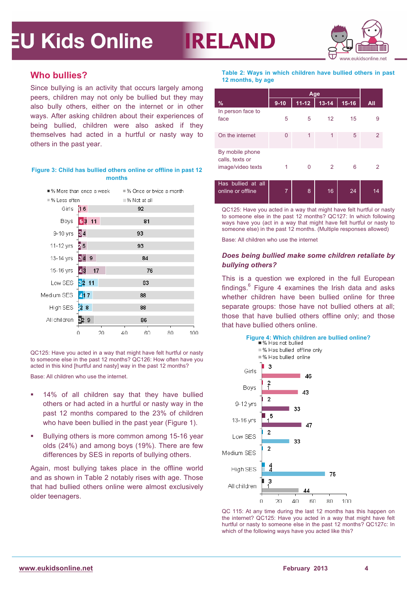

### **Who bullies?**

Since bullying is an activity that occurs largely among peers, children may not only be bullied but they may also bully others, either on the internet or in other ways. After asking children about their experiences of being bullied, children were also asked if they themselves had acted in a hurtful or nasty way to others in the past year.

#### **Figure 3: Child has bullied others online or offline in past 12 months**



QC125: Have you acted in a way that might have felt hurtful or nasty to someone else in the past 12 months? QC126: How often have you acted in this kind [hurtful and nasty] way in the past 12 months?

Base: All children who use the internet.

- § 14% of all children say that they have bullied others or had acted in a hurtful or nasty way in the past 12 months compared to the 23% of children who have been bullied in the past year (Figure 1).
- **Bullying others is more common among 15-16 year** olds (24%) and among boys (19%). There are few differences by SES in reports of bullying others.

Again, most bullying takes place in the offline world and as shown in Table 2 notably rises with age. Those that had bullied others online were almost exclusively older teenagers.

**Table 2: Ways in which children have bullied others in past 12 months, by age**

| $\frac{9}{6}$                           | $9 - 10$       | $11 - 12$ | $13 - 14$ | $15 - 16$ | All |
|-----------------------------------------|----------------|-----------|-----------|-----------|-----|
| In person face to                       |                |           |           |           |     |
| face                                    | 5              | 5         | 12        | 15        | 9   |
| On the internet                         | 0              | 1         | 1         | 5         | 2   |
| By mobile phone<br>calls, texts or      |                |           |           |           |     |
| image/video texts                       |                | U         | 2         | 6         |     |
| Has bullied at all<br>online or offline | $\overline{7}$ | 8         | 16        | 24        | 14  |

QC125: Have you acted in a way that might have felt hurtful or nasty to someone else in the past 12 months? QC127: In which following ways have you (act in a way that might have felt hurtful or nasty to someone else) in the past 12 months. (Multiple responses allowed)

Base: All children who use the internet

**IRELAND** 

#### *Does being bullied make some children retaliate by bullying others?*

This is a question we explored in the full European findings. $6$  Figure 4 examines the Irish data and asks whether children have been bullied online for three separate groups: those have not bullied others at all: those that have bullied others offline only; and those that have bullied others online.



QC 115: At any time during the last 12 months has this happen on the internet? QC125: Have you acted in a way that might have felt hurtful or nasty to someone else in the past 12 months? QC127c: In which of the following ways have you acted like this?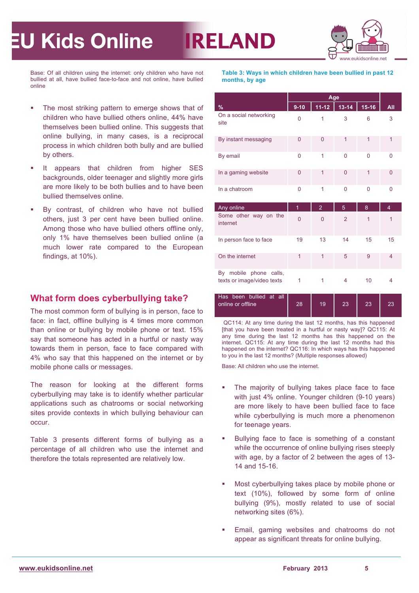

Base: Of all children using the internet: only children who have not bullied at all, have bullied face-to-face and not online, have bullied online

- The most striking pattern to emerge shows that of children who have bullied others online, 44% have themselves been bullied online. This suggests that online bullying, in many cases, is a reciprocal process in which children both bully and are bullied by others.
- **■** It appears that children from higher SES backgrounds, older teenager and slightly more girls are more likely to be both bullies and to have been bullied themselves online.
- By contrast, of children who have not bullied others, just 3 per cent have been bullied online. Among those who have bullied others offline only, only 1% have themselves been bullied online (a much lower rate compared to the European findings, at 10%).

### **What form does cyberbullying take?**

The most common form of bullying is in person, face to face: in fact, offline bullying is 4 times more common than online or bullying by mobile phone or text. 15% say that someone has acted in a hurtful or nasty way towards them in person, face to face compared with 4% who say that this happened on the internet or by mobile phone calls or messages.

The reason for looking at the different forms cyberbullying may take is to identify whether particular applications such as chatrooms or social networking sites provide contexts in which bullying behaviour can occur.

Table 3 presents different forms of bullying as a percentage of all children who use the internet and therefore the totals represented are relatively low.

**Table 3: Ways in which children have been bullied in past 12 months, by age**

**IRELAND** 

|                                                                                      |                | Age            |                |                |                |  |  |
|--------------------------------------------------------------------------------------|----------------|----------------|----------------|----------------|----------------|--|--|
| $\%$                                                                                 | $9 - 10$       | $11 - 12$      | $13 - 14$      | $15-16$        | All            |  |  |
| On a social networking<br>site                                                       | 0              | 1              | 3              | 6              | 3              |  |  |
| By instant messaging                                                                 | $\Omega$       | $\Omega$       | 1              | $\overline{1}$ | 1              |  |  |
| By email                                                                             | 0              | 1              | 0              | 0              | 0              |  |  |
| In a gaming website                                                                  | $\overline{0}$ | 1              | $\overline{0}$ | $\overline{1}$ | $\overline{0}$ |  |  |
| In a chatroom                                                                        | 0              | 1              | $\Omega$       | 0              | 0              |  |  |
| Any online                                                                           | $\overline{1}$ | $\overline{2}$ | 5              | 8              | $\overline{4}$ |  |  |
| Some other way on the<br>internet                                                    | $\overline{0}$ | $\Omega$       | $\overline{2}$ | 1              | 1              |  |  |
| In person face to face                                                               | 19             | 13             | 14             | 15             | 15             |  |  |
| On the internet                                                                      | $\overline{1}$ | 1              | 5              | 9              | $\overline{4}$ |  |  |
| mobile phone calls,<br>By<br>texts or image/video texts<br>e e l<br><b>ALC</b><br>ш. | 1              | 1              | 4              | 10             | 4              |  |  |

| Has been bullied at all |    |    |              |    |  |
|-------------------------|----|----|--------------|----|--|
| online or offline       | 28 | 19 | $23^{\circ}$ | 23 |  |
|                         |    |    |              |    |  |

QC114: At any time during the last 12 months, has this happened [that you have been treated in a hurtful or nasty way]? QC115: At any time during the last 12 months has this happened on the internet. QC115: At any time during the last 12 months had this happened on the internet? QC116: In which ways has this happened to you in the last 12 months? (Multiple responses allowed)

Base: All children who use the internet.

- The majority of bullying takes place face to face with just 4% online. Younger children (9-10 years) are more likely to have been bullied face to face while cyberbullying is much more a phenomenon for teenage years.
- Bullying face to face is something of a constant while the occurrence of online bullying rises steeply with age, by a factor of 2 between the ages of 13- 14 and 15-16.
- Most cyberbullying takes place by mobile phone or text (10%), followed by some form of online bullying (9%), mostly related to use of social networking sites (6%).
- Email, gaming websites and chatrooms do not appear as significant threats for online bullying.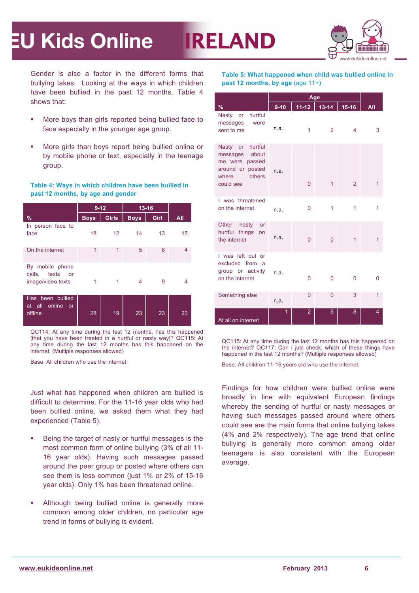

Gender is also a factor in the different forms that bullying takes. Looking at the ways in which children have been bullied in the past 12 months, Table 4 shows that:

- § More boys than girls reported being bullied face to face especially in the younger age group.
- § More girls than boys report being bullied online or by mobile phone or text, especially in the teenage group.

#### **Table 4: Ways in which children have been bullied in past 12 months, by age and gender**

|                                                                   | $9 - 12$    |                 | $13 - 16$   |      |     |
|-------------------------------------------------------------------|-------------|-----------------|-------------|------|-----|
| $\%$                                                              | <b>Boys</b> | <b>Girls</b>    | <b>Boys</b> | Girl | All |
| In person face to<br>face                                         | 18          | 12 <sup>2</sup> | 14          | 13   | 15  |
| On the internet                                                   | 1           | 1               | 5           | 8    | 4   |
| By mobile phone<br>calls, texts<br><b>or</b><br>image/video texts |             | 1               | 4           | 9    | 4   |
| Has been bullied<br>at all online or<br>offline                   | 28          | 19              | 23          | 23   | 23  |

QC114: At any time during the last 12 months, has this happened [that you have been treated in a hurtful or nasty way]? QC115: At any time during the last 12 months has this happened on the internet. (Multiple responses allowed)

Base: All children who use the internet.

Just what has happened when children are bullied is difficult to determine. For the 11-16 year olds who had been bullied online, we asked them what they had experienced (Table 5).

- Being the target of nasty or hurtful messages is the most common form of online bullying (3% of all 11- 16 year olds). Having such messages passed around the peer group or posted where others can see them is less common (just 1% or 2% of 15-16 year olds). Only 1% has been threatened online.
- **Although being bullied online is generally more** common among older children, no particular age trend in forms of bullying is evident.

**Table 5: What happened when child was bullied online in past 12 months, by age** (age 11+)

**IRELAND** 

| %                                                                                                        | $9-10$ | $11 - 12$      | $13-14$ 15-16  |   | All |
|----------------------------------------------------------------------------------------------------------|--------|----------------|----------------|---|-----|
| hurtful<br>Nasty or<br>messages<br>were<br>sent to me                                                    | n.a.   | 1              | $\overline{2}$ | 4 | 3   |
| Nasty or hurtful<br>messages about<br>me were passed<br>around or posted<br>where<br>others<br>could see | n.a.   | $\overline{0}$ | $\mathbf{1}$   | 2 | 1   |
| I was threatened<br>on the internet                                                                      | n.a.   | $\overline{0}$ | 1              | 1 | 1   |
| Other<br>nasty<br><b>or</b><br>things on<br>hurtful<br>the internet                                      | n.a.   | $\overline{0}$ | $\Omega$       | 1 | 1   |
| I was left out or<br>excluded from a<br>group or activity<br>on the internet                             | n.a.   | $\mathbf{0}$   | $\Omega$       | 0 | 0   |
| Something else                                                                                           | n.a.   | 0              | $\overline{0}$ | 3 | 1   |
| At all on internet                                                                                       | 1      | $\overline{2}$ | 5              | 8 | 4   |

QC115: At any time during the last 12 months has this happened on the internet? QC117: Can I just check, which of these things have happened in the last 12 months? (Multiple responses allowed)

Base: All children 11-16 years old who use the internet.

Findings for how children were bullied online were broadly in line with equivalent European findings whereby the sending of hurtful or nasty messages or having such messages passed around where others could see are the main forms that online bullying takes (4% and 2% respectively). The age trend that online bullying is generally more common among older teenagers is also consistent with the European average.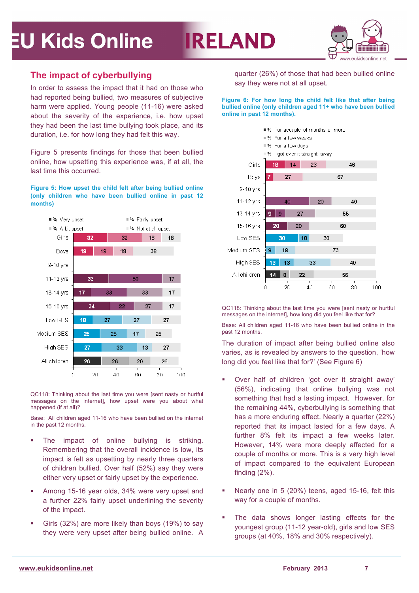# **IRELAND**



### **The impact of cyberbullying**

In order to assess the impact that it had on those who had reported being bullied, two measures of subjective harm were applied. Young people (11-16) were asked about the severity of the experience, i.e. how upset they had been the last time bullying took place, and its duration, i.e. for how long they had felt this way.

Figure 5 presents findings for those that been bullied online, how upsetting this experience was, if at all, the last time this occurred.

**Figure 5: How upset the child felt after being bullied online (only children who have been bullied online in past 12 months)** 



QC118: Thinking about the last time you were [sent nasty or hurtful messages on the internet], how upset were you about what happened (if at all)?

Base: All children aged 11-16 who have been bullied on the internet in the past 12 months.

- The impact of online bullying is striking. Remembering that the overall incidence is low, its impact is felt as upsetting by nearly three quarters of children bullied. Over half (52%) say they were either very upset or fairly upset by the experience.
- Among 15-16 year olds, 34% were very upset and a further 22% fairly upset underlining the severity of the impact.
- Girls (32%) are more likely than boys (19%) to say they were very upset after being bullied online. A

quarter (26%) of those that had been bullied online say they were not at all upset.

#### **Figure 6: For how long the child felt like that after being bullied online (only children aged 11+ who have been bullied online in past 12 months).**



QC118: Thinking about the last time you were [sent nasty or hurtful messages on the internetl, how long did you feel like that for?

Base: All children aged 11-16 who have been bullied online in the past 12 months.

The duration of impact after being bullied online also varies, as is revealed by answers to the question, 'how long did you feel like that for?' (See Figure 6)

- § Over half of children 'got over it straight away' (56%), indicating that online bullying was not something that had a lasting impact. However, for the remaining 44%, cyberbullying is something that has a more enduring effect. Nearly a quarter (22%) reported that its impact lasted for a few days. A further 8% felt its impact a few weeks later. However, 14% were more deeply affected for a couple of months or more. This is a very high level of impact compared to the equivalent European finding (2%).
- Nearly one in 5 (20%) teens, aged 15-16, felt this way for a couple of months.
- The data shows longer lasting effects for the youngest group (11-12 year-old), girls and low SES groups (at 40%, 18% and 30% respectively).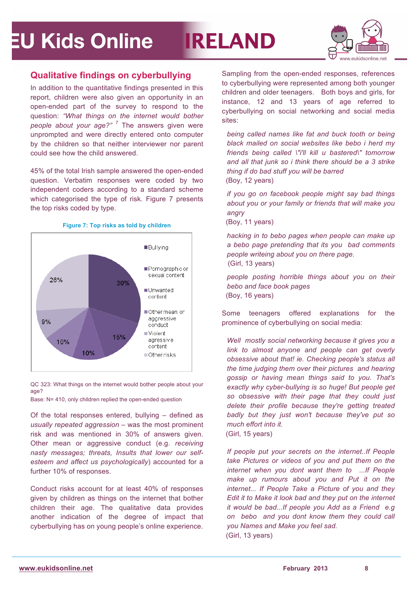# **IRELAND**



### **Qualitative findings on cyberbullying**

In addition to the quantitative findings presented in this report, children were also given an opportunity in an open-ended part of the survey to respond to the question: *"What things on the internet would bother people about your age?"* <sup>7</sup> The answers given were unprompted and were directly entered onto computer by the children so that neither interviewer nor parent could see how the child answered.

45% of the total Irish sample answered the open-ended question. Verbatim responses were coded by two independent coders according to a standard scheme which categorised the type of risk. Figure 7 presents the top risks coded by type.



**Figure 7: Top risks as told by children**

QC 323: What things on the internet would bother people about your age?

Base: N= 410, only children replied the open-ended question

Of the total responses entered, bullying – defined as *usually repeated aggression* – was the most prominent risk and was mentioned in 30% of answers given. Other mean or aggressive conduct (e.g. *receiving nasty messages; threats, Insults that lower our selfesteem and affect us psychologically*) accounted for a further 10% of responses.

Conduct risks account for at least 40% of responses given by children as things on the internet that bother children their age. The qualitative data provides another indication of the degree of impact that cyberbullying has on young people's online experience.

Sampling from the open-ended responses, references to cyberbullying were represented among both younger children and older teenagers. Both boys and girls, for instance, 12 and 13 years of age referred to cyberbullying on social networking and social media sites:

*being called names like fat and buck tooth or being black mailed on social websites like bebo i herd my friends being called \"i'll kill u bastered\" tomorrow and all that junk so i think there should be a 3 strike thing if do bad stuff you will be barred* (Boy, 12 years)

*if you go on facebook people might say bad things about you or your family or friends that will make you angry*

(Boy, 11 years)

*hacking in to bebo pages when people can make up a bebo page pretending that its you bad comments people writeing about you on there page.* (Girl, 13 years)

*people posting horrible things about you on their bebo and face book pages*  (Boy, 16 years)

Some teenagers offered explanations for the prominence of cyberbullying on social media:

*Well mostly social networking because it gives you a link to almost anyone and people can get overly obsessive about that! ie. Checking people's status all the time judging them over their pictures and hearing gossip or having mean things said to you. That's exactly why cyber-bullying is so huge! But people get so obsessive with their page that they could just delete their profile because they're getting treated badly but they just won't because they've put so much effort into it.*  (Girl, 15 years)

*If people put your secrets on the internet..If People take Pictures or videos of you and put them on the internet when you dont want them to ...If People make up rumours about you and Put it on the internet... If People Take a Picture of you and they Edit it to Make it look bad and they put on the internet it would be bad...If people you Add as a Friend e.g on bebo and you dont know them they could call you Names and Make you feel sad.* (Girl, 13 years)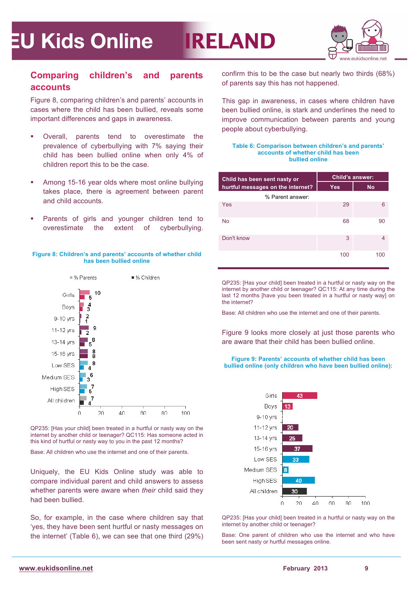

### **Comparing children's and parents accounts**

Figure 8, comparing children's and parents' accounts in cases where the child has been bullied, reveals some important differences and gaps in awareness.

- § Overall, parents tend to overestimate the prevalence of cyberbullying with 7% saying their child has been bullied online when only 4% of children report this to be the case.
- Among 15-16 year olds where most online bullying takes place, there is agreement between parent and child accounts.
- Parents of girls and younger children tend to overestimate the extent of cyberbullying.





QP235: [Has your child] been treated in a hurtful or nasty way on the internet by another child or teenager? QC115: Has someone acted in this kind of hurtful or nasty way to you in the past 12 months?

Base: All children who use the internet and one of their parents.

Uniquely, the EU Kids Online study was able to compare individual parent and child answers to assess whether parents were aware when *their* child said they had been bullied.

So, for example, in the case where children say that 'yes, they have been sent hurtful or nasty messages on the internet' (Table 6), we can see that one third (29%) confirm this to be the case but nearly two thirds (68%) of parents say this has not happened.

**IRELAND** 

This gap in awareness, in cases where children have been bullied online, is stark and underlines the need to improve communication between parents and young people about cyberbullying.

#### **Table 6: Comparison between children's and parents' accounts of whether child has been bullied online**

| Child has been sent nasty or      | <b>Child's answer:</b> |           |  |  |
|-----------------------------------|------------------------|-----------|--|--|
| hurtful messages on the internet? | <b>Yes</b>             | <b>No</b> |  |  |
| % Parent answer:                  |                        |           |  |  |
| Yes                               | 29                     | 6         |  |  |
| <b>No</b>                         | 68                     | 90        |  |  |
| Don't know                        | 3                      | 4         |  |  |
|                                   | 100                    | 100       |  |  |

QP235: [Has your child] been treated in a hurtful or nasty way on the internet by another child or teenager? QC115: At any time during the last 12 months [have you been treated in a hurtful or nasty way] on the internet?

Base: All children who use the internet and one of their parents.

Figure 9 looks more closely at just those parents who are aware that their child has been bullied online.

**Figure 9: Parents' accounts of whether child has been bullied online (only children who have been bullied online):** 



QP235: [Has your child] been treated in a hurtful or nasty way on the internet by another child or teenager?

Base: One parent of children who use the internet and who have been sent nasty or hurtful messages online.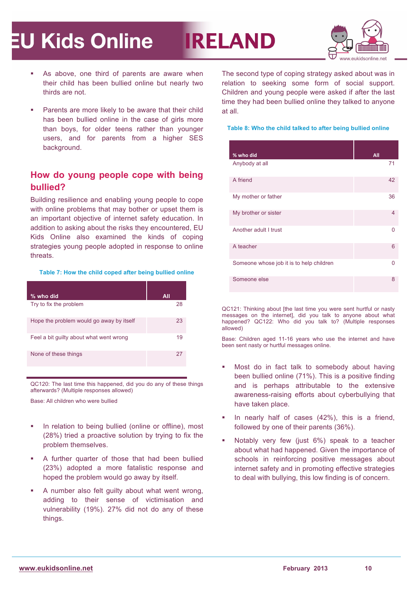

- As above, one third of parents are aware when their child has been bullied online but nearly two thirds are not.
- Parents are more likely to be aware that their child has been bullied online in the case of girls more than boys, for older teens rather than younger users, and for parents from a higher SES background.

### **How do young people cope with being bullied?**

Building resilience and enabling young people to cope with online problems that may bother or upset them is an important objective of internet safety education. In addition to asking about the risks they encountered, EU Kids Online also examined the kinds of coping strategies young people adopted in response to online threats.

#### **Table 7: How the child coped after being bullied online**

| % who did                                | All |
|------------------------------------------|-----|
| Try to fix the problem                   | 28  |
| Hope the problem would go away by itself | 23  |
| Feel a bit guilty about what went wrong  | 19  |
| None of these things                     | 27  |

QC120: The last time this happened, did you do any of these things afterwards? (Multiple responses allowed)

Base: All children who were bullied

- In relation to being bullied (online or offline), most (28%) tried a proactive solution by trying to fix the problem themselves.
- § A further quarter of those that had been bullied (23%) adopted a more fatalistic response and hoped the problem would go away by itself.
- § A number also felt guilty about what went wrong, adding to their sense of victimisation and vulnerability (19%). 27% did not do any of these things.

The second type of coping strategy asked about was in relation to seeking some form of social support. Children and young people were asked if after the last time they had been bullied online they talked to anyone at all.

**IRELAND** 

#### **Table 8: Who the child talked to after being bullied online**

| % who did                                | All |
|------------------------------------------|-----|
| Anybody at all                           | 71  |
| A friend                                 | 42  |
| My mother or father                      | 36  |
| My brother or sister                     | 4   |
| Another adult I trust                    | 0   |
| A teacher                                | 6   |
| Someone whose job it is to help children | 0   |
| Someone else                             | 8   |
|                                          |     |

QC121: Thinking about [the last time you were sent hurtful or nasty messages on the internet], did you talk to anyone about what happened? QC122: Who did you talk to? (Multiple responses allowed)

Base: Children aged 11-16 years who use the internet and have been sent nasty or hurtful messages online.

- Most do in fact talk to somebody about having been bullied online (71%). This is a positive finding and is perhaps attributable to the extensive awareness-raising efforts about cyberbullying that have taken place.
- In nearly half of cases (42%), this is a friend, followed by one of their parents (36%).
- § Notably very few (just 6%) speak to a teacher about what had happened. Given the importance of schools in reinforcing positive messages about internet safety and in promoting effective strategies to deal with bullying, this low finding is of concern.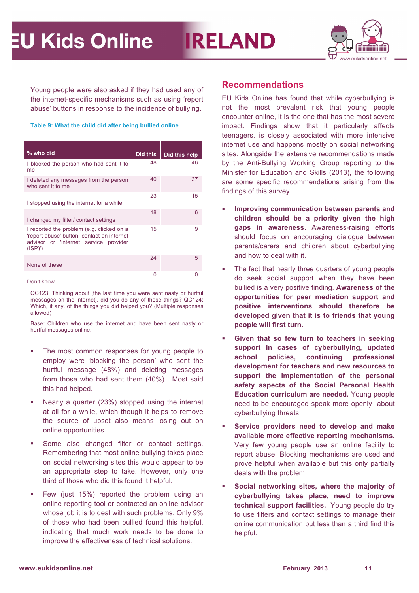

Young people were also asked if they had used any of the internet-specific mechanisms such as using 'report abuse' buttons in response to the incidence of bullying.

**Table 9: What the child did after being bullied online**

| % who did                                                                                                                                  | Did this | Did this help |
|--------------------------------------------------------------------------------------------------------------------------------------------|----------|---------------|
| I blocked the person who had sent it to<br>me                                                                                              | 48       | 46            |
| I deleted any messages from the person<br>who sent it to me                                                                                | 40       | 37            |
| I stopped using the internet for a while                                                                                                   | 23       | 15            |
| I changed my filter/ contact settings                                                                                                      | 18       | 6             |
| I reported the problem (e.g. clicked on a<br>'report abuse' button, contact an internet<br>advisor or 'internet service provider<br>(ISP)' | 15       | 9             |
| None of these                                                                                                                              | 24       | 5             |
|                                                                                                                                            | 0        |               |

Don't know

QC123: Thinking about [the last time you were sent nasty or hurtful messages on the internet], did you do any of these things? QC124: Which, if any, of the things you did helped you? (Multiple responses allowed)

Base: Children who use the internet and have been sent nasty or hurtful messages online.

- The most common responses for young people to employ were 'blocking the person' who sent the hurtful message (48%) and deleting messages from those who had sent them (40%). Most said this had helped.
- Nearly a quarter (23%) stopped using the internet at all for a while, which though it helps to remove the source of upset also means losing out on online opportunities.
- § Some also changed filter or contact settings. Remembering that most online bullying takes place on social networking sites this would appear to be an appropriate step to take. However, only one third of those who did this found it helpful.
- Few (just 15%) reported the problem using an online reporting tool or contacted an online advisor whose job it is to deal with such problems. Only 9% of those who had been bullied found this helpful, indicating that much work needs to be done to improve the effectiveness of technical solutions.

### **Recommendations**

**IRELAND** 

EU Kids Online has found that while cyberbullying is not the most prevalent risk that young people encounter online, it is the one that has the most severe impact. Findings show that it particularly affects teenagers, is closely associated with more intensive internet use and happens mostly on social networking sites. Alongside the extensive recommendations made by the Anti-Bullying Working Group reporting to the Minister for Education and Skills (2013), the following are some specific recommendations arising from the findings of this survey.

- § **Improving communication between parents and children should be a priority given the high gaps in awareness**. Awareness-raising efforts should focus on encouraging dialogue between parents/carers and children about cyberbullying and how to deal with it.
- The fact that nearly three quarters of young people do seek social support when they have been bullied is a very positive finding. **Awareness of the opportunities for peer mediation support and positive interventions should therefore be developed given that it is to friends that young people will first turn.**
- § **Given that so few turn to teachers in seeking support in cases of cyberbullying, updated school policies, continuing professional development for teachers and new resources to support the implementation of the personal safety aspects of the Social Personal Health Education curriculum are needed.** Young people need to be encouraged speak more openly about cyberbullying threats.
- § **Service providers need to develop and make available more effective reporting mechanisms.**  Very few young people use an online facility to report abuse. Blocking mechanisms are used and prove helpful when available but this only partially deals with the problem.
- § **Social networking sites, where the majority of cyberbullying takes place, need to improve technical support facilities.** Young people do try to use filters and contact settings to manage their online communication but less than a third find this helpful.